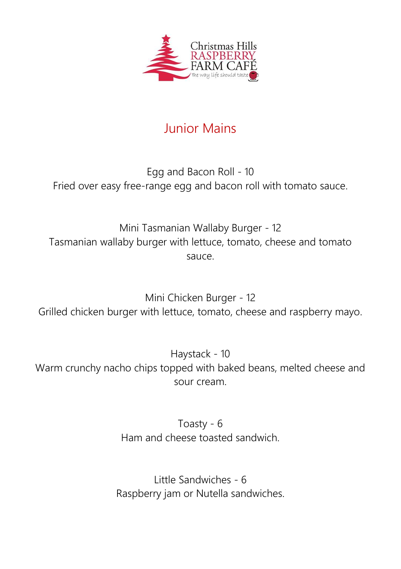

## Junior Mains

## Egg and Bacon Roll - 10 Fried over easy free-range egg and bacon roll with tomato sauce.

Mini Tasmanian Wallaby Burger - 12 Tasmanian wallaby burger with lettuce, tomato, cheese and tomato sauce.

Mini Chicken Burger - 12 Grilled chicken burger with lettuce, tomato, cheese and raspberry mayo.

Haystack - 10 Warm crunchy nacho chips topped with baked beans, melted cheese and sour cream.

> Toasty - 6 Ham and cheese toasted sandwich.

Little Sandwiches - 6 Raspberry jam or Nutella sandwiches.